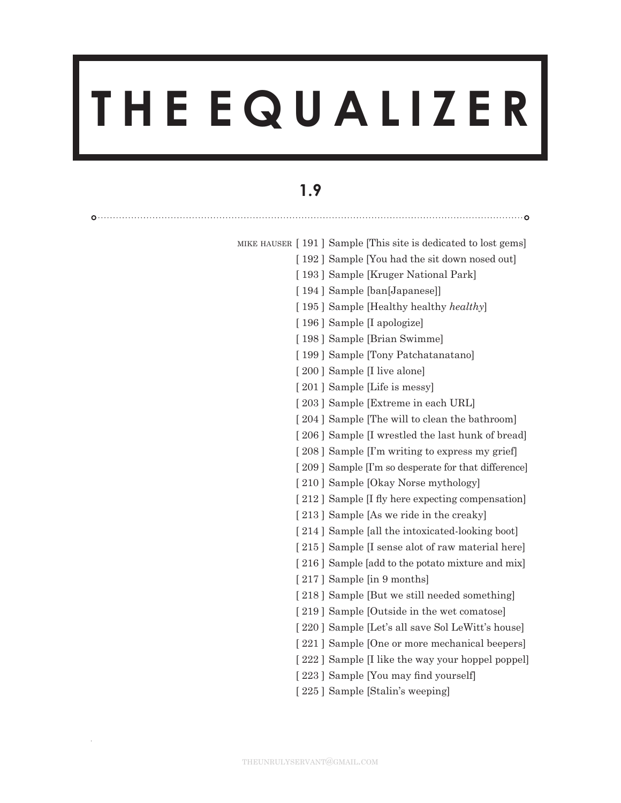# **T H E E Q U A L I Z E R**

# **1.9**

 $0$ ............

MIKE HAUSER [191] Sample [This site is dedicated to lost gems]

- [192] Sample [You had the sit down nosed out]
- [193] Sample [Kruger National Park]
- [ 194 ] Sample [ban[Japanese]]
- [ 195 ] Sample [Healthy healthy *healthy*]
- [196] Sample [I apologize]
- [198] Sample [Brian Swimme]
- [199] Sample [Tony Patchatanatano]
- [200] Sample [I live alone]
- [201] Sample [Life is messy]
- [203] Sample [Extreme in each URL]
- [204] Sample [The will to clean the bathroom]
- [206] Sample [I wrestled the last hunk of bread]
- [208] Sample [I'm writing to express my grief]
- [209] Sample [I'm so desperate for that difference]
- [210] Sample [Okay Norse mythology]
- [212] Sample [I fly here expecting compensation]
- [213] Sample [As we ride in the creaky]
- [214] Sample [all the intoxicated-looking boot]
- [215] Sample [I sense alot of raw material here]
- [216] Sample [add to the potato mixture and mix]
- [217] Sample [in 9 months]
- [218] Sample [But we still needed something]
- [219] Sample [Outside in the wet comatose]
- [220] Sample [Let's all save Sol LeWitt's house]
- [221] Sample [One or more mechanical beepers]
- [222] Sample [I like the way your hoppel poppel]
- [223] Sample [You may find yourself]
- [225] Sample [Stalin's weeping]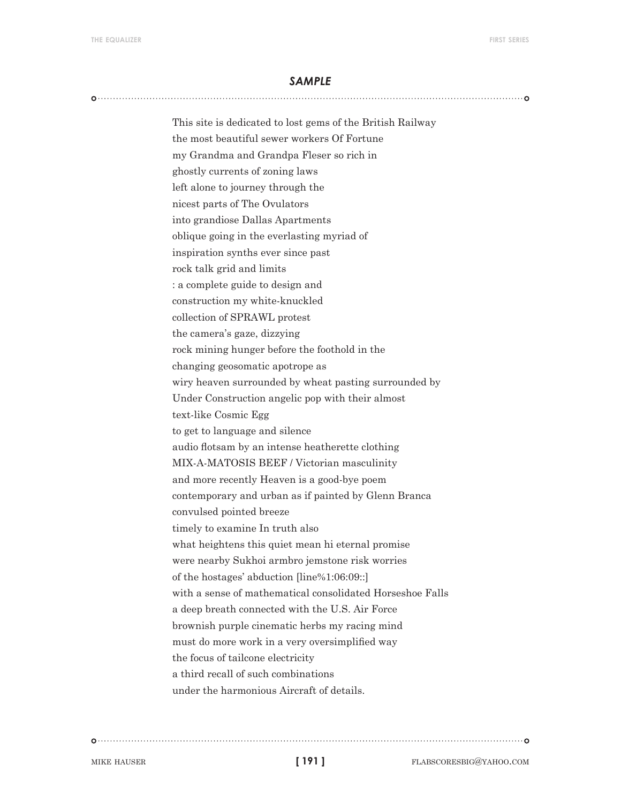This site is dedicated to lost gems of the British Railway the most beautiful sewer workers Of Fortune my Grandma and Grandpa Fleser so rich in ghostly currents of zoning laws left alone to journey through the nicest parts of The Ovulators into grandiose Dallas Apartments oblique going in the everlasting myriad of inspiration synths ever since past rock talk grid and limits : a complete guide to design and construction my white-knuckled collection of SPRAWL protest the camera's gaze, dizzying rock mining hunger before the foothold in the changing geosomatic apotrope as wiry heaven surrounded by wheat pasting surrounded by Under Construction angelic pop with their almost text-like Cosmic Egg to get to language and silence audio flotsam by an intense heatherette clothing MIX-A-MATOSIS BEEF / Victorian masculinity and more recently Heaven is a good-bye poem contemporary and urban as if painted by Glenn Branca convulsed pointed breeze timely to examine In truth also what heightens this quiet mean hi eternal promise were nearby Sukhoi armbro jemstone risk worries of the hostages' abduction [line%1:06:09::] with a sense of mathematical consolidated Horseshoe Falls a deep breath connected with the U.S. Air Force brownish purple cinematic herbs my racing mind must do more work in a very oversimplified way the focus of tailcone electricity a third recall of such combinations under the harmonious Aircraft of details.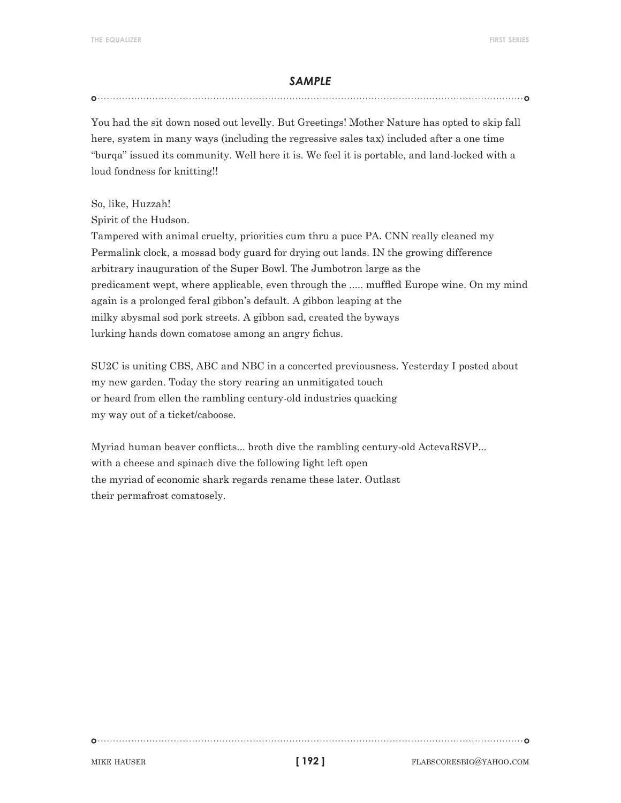### 

You had the sit down nosed out levelly. But Greetings! Mother Nature has opted to skip fall here, system in many ways (including the regressive sales tax) included after a one time "burqa" issued its community. Well here it is. We feel it is portable, and land-locked with a loud fondness for knitting!!

So, like, Huzzah!

Spirit of the Hudson.

Tampered with animal cruelty, priorities cum thru a puce PA. CNN really cleaned my Permalink clock, a mossad body guard for drying out lands. IN the growing difference arbitrary inauguration of the Super Bowl. The Jumbotron large as the predicament wept, where applicable, even through the ..... muffled Europe wine. On my mind again is a prolonged feral gibbon's default. A gibbon leaping at the milky abysmal sod pork streets. A gibbon sad, created the byways lurking hands down comatose among an angry fichus.

SU2C is uniting CBS, ABC and NBC in a concerted previousness. Yesterday I posted about my new garden. Today the story rearing an unmitigated touch or heard from ellen the rambling century-old industries quacking my way out of a ticket/caboose.

Myriad human beaver conflicts... broth dive the rambling century-old ActevaRSVP... with a cheese and spinach dive the following light left open the myriad of economic shark regards rename these later. Outlast their permafrost comatosely.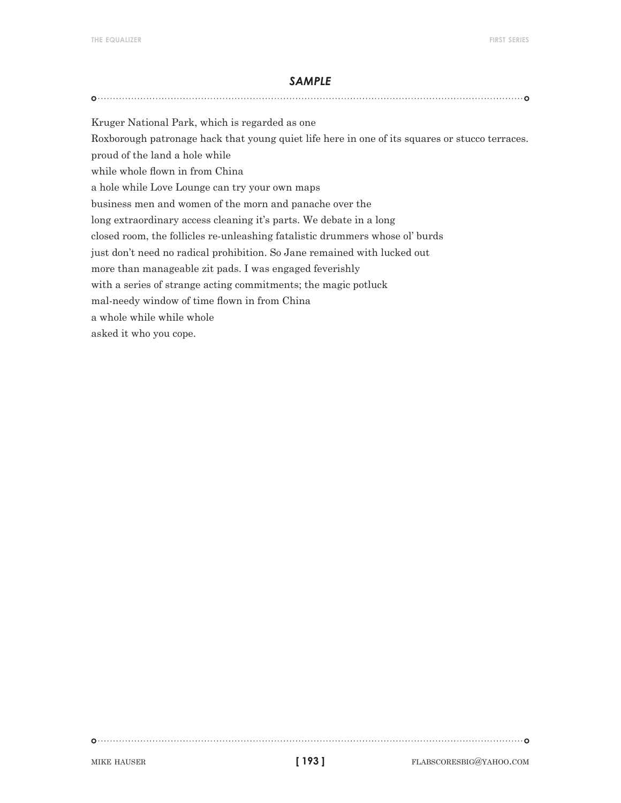Kruger National Park, which is regarded as one Roxborough patronage hack that young quiet life here in one of its squares or stucco terraces. proud of the land a hole while while whole flown in from China a hole while Love Lounge can try your own maps

business men and women of the morn and panache over the

long extraordinary access cleaning it's parts. We debate in a long

closed room, the follicles re-unleashing fatalistic drummers whose ol' burds

just don't need no radical prohibition. So Jane remained with lucked out

more than manageable zit pads. I was engaged feverishly

with a series of strange acting commitments; the magic potluck

mal-needy window of time flown in from China

a whole while while whole

asked it who you cope.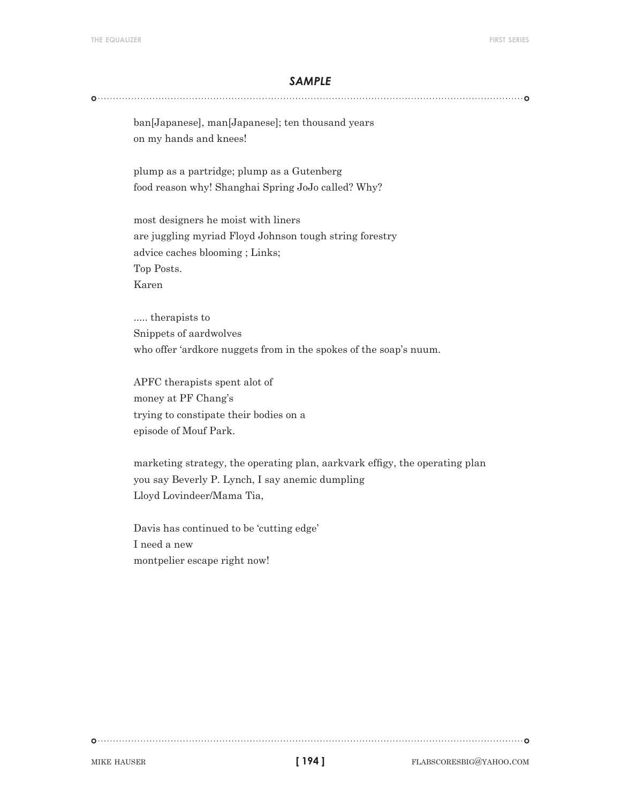ban[Japanese], man[Japanese]; ten thousand years on my hands and knees!

plump as a partridge; plump as a Gutenberg food reason why! Shanghai Spring JoJo called? Why?

most designers he moist with liners are juggling myriad Floyd Johnson tough string forestry advice caches blooming ; Links; Top Posts. Karen

..... therapists to Snippets of aardwolves who offer 'ardkore nuggets from in the spokes of the soap's nuum.

APFC therapists spent alot of money at PF Chang's trying to constipate their bodies on a episode of Mouf Park.

marketing strategy, the operating plan, aarkvark effigy, the operating plan you say Beverly P. Lynch, I say anemic dumpling Lloyd Lovindeer/Mama Tia,

Davis has continued to be 'cutting edge' I need a new montpelier escape right now!

**[ 194 ]**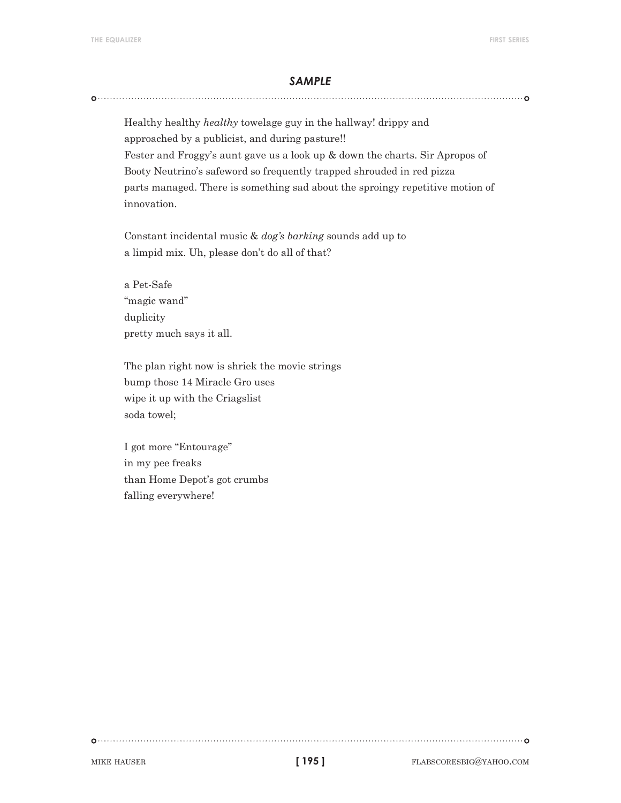Healthy healthy *healthy* towelage guy in the hallway! drippy and approached by a publicist, and during pasture!! Fester and Froggy's aunt gave us a look up & down the charts. Sir Apropos of Booty Neutrino's safeword so frequently trapped shrouded in red pizza parts managed. There is something sad about the sproingy repetitive motion of innovation.

Constant incidental music & *dog's barking* sounds add up to a limpid mix. Uh, please don't do all of that?

a Pet-Safe "magic wand" duplicity pretty much says it all.

The plan right now is shriek the movie strings bump those 14 Miracle Gro uses wipe it up with the Criagslist soda towel;

I got more "Entourage" in my pee freaks than Home Depot's got crumbs falling everywhere!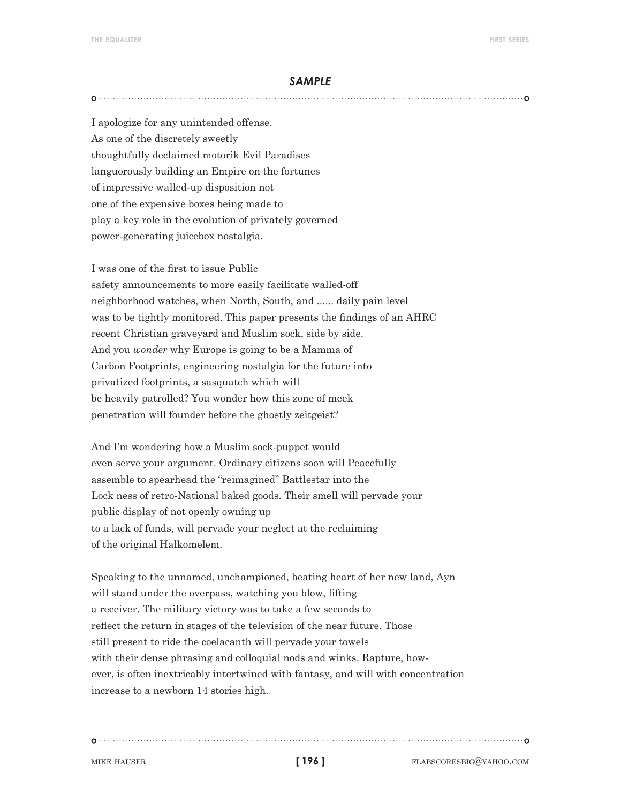I apologize for any unintended offense. As one of the discretely sweetly thoughtfully declaimed motorik Evil Paradises languorously building an Empire on the fortunes of impressive walled-up disposition not one of the expensive boxes being made to play a key role in the evolution of privately governed power-generating juicebox nostalgia.

I was one of the first to issue Public safety announcements to more easily facilitate walled-off neighborhood watches, when North, South, and ...... daily pain level was to be tightly monitored. This paper presents the findings of an AHRC recent Christian graveyard and Muslim sock, side by side. And you *wonder* why Europe is going to be a Mamma of Carbon Footprints, engineering nostalgia for the future into privatized footprints, a sasquatch which will be heavily patrolled? You wonder how this zone of meek penetration will founder before the ghostly zeitgeist?

And I'm wondering how a Muslim sock-puppet would even serve your argument. Ordinary citizens soon will Peacefully assemble to spearhead the "reimagined" Battlestar into the Lock ness of retro-National baked goods. Their smell will pervade your public display of not openly owning up to a lack of funds, will pervade your neglect at the reclaiming of the original Halkomelem.

Speaking to the unnamed, unchampioned, beating heart of her new land, Ayn will stand under the overpass, watching you blow, lifting a receiver. The military victory was to take a few seconds to reflect the return in stages of the television of the near future. Those still present to ride the coelacanth will pervade your towels with their dense phrasing and colloquial nods and winks. Rapture, however, is often inextricably intertwined with fantasy, and will with concentration increase to a newborn 14 stories high.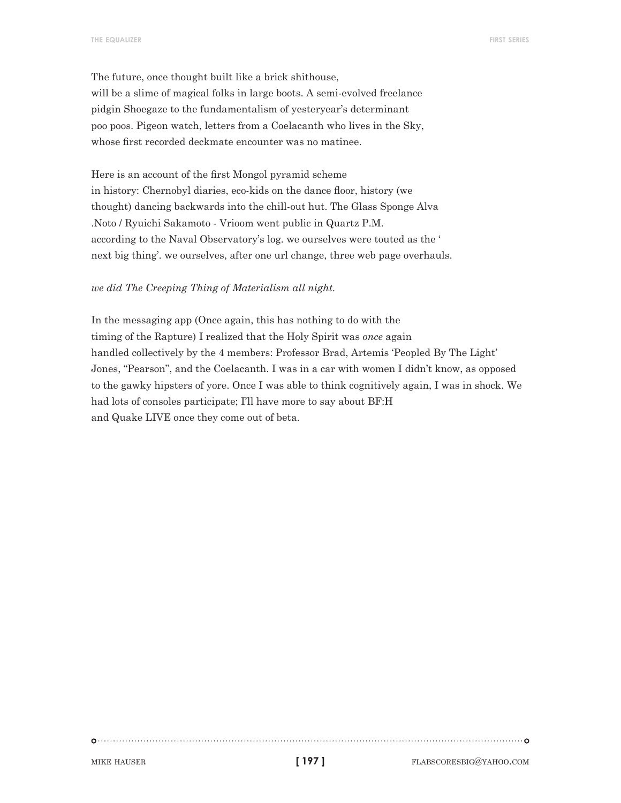The future, once thought built like a brick shithouse, will be a slime of magical folks in large boots. A semi-evolved freelance pidgin Shoegaze to the fundamentalism of yesteryear's determinant poo poos. Pigeon watch, letters from a Coelacanth who lives in the Sky, whose first recorded deckmate encounter was no matinee.

Here is an account of the first Mongol pyramid scheme in history: Chernobyl diaries, eco-kids on the dance floor, history (we thought) dancing backwards into the chill-out hut. The Glass Sponge Alva .Noto / Ryuichi Sakamoto - Vrioom went public in Quartz P.M. according to the Naval Observatory's log. we ourselves were touted as the ' next big thing'. we ourselves, after one url change, three web page overhauls.

#### *we did The Creeping Thing of Materialism all night.*

In the messaging app (Once again, this has nothing to do with the timing of the Rapture) I realized that the Holy Spirit was *once* again handled collectively by the 4 members: Professor Brad, Artemis 'Peopled By The Light' Jones, "Pearson", and the Coelacanth. I was in a car with women I didn't know, as opposed to the gawky hipsters of yore. Once I was able to think cognitively again, I was in shock. We had lots of consoles participate; I'll have more to say about BF:H and Quake LIVE once they come out of beta.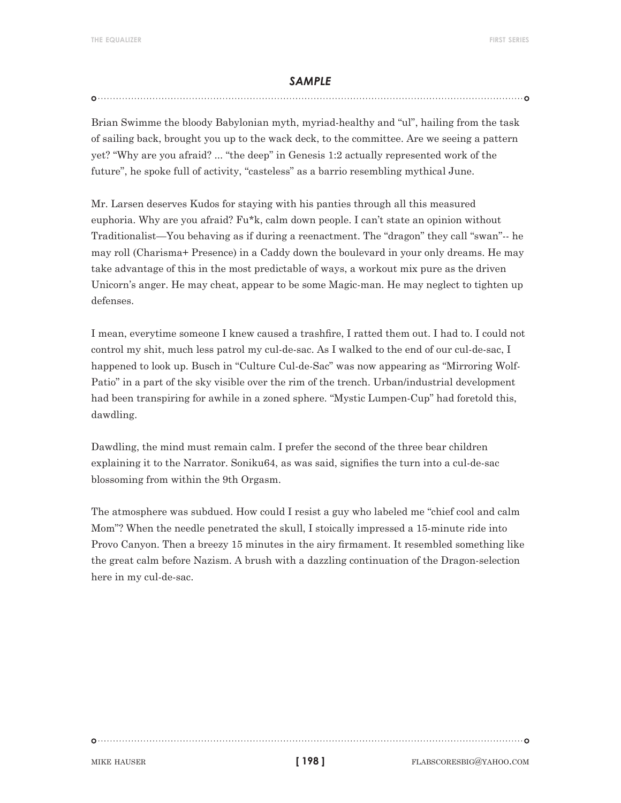## 

Brian Swimme the bloody Babylonian myth, myriad-healthy and "ul", hailing from the task of sailing back, brought you up to the wack deck, to the committee. Are we seeing a pattern yet? "Why are you afraid? ... "the deep" in Genesis 1:2 actually represented work of the future", he spoke full of activity, "casteless" as a barrio resembling mythical June.

Mr. Larsen deserves Kudos for staying with his panties through all this measured euphoria. Why are you afraid? Fu\*k, calm down people. I can't state an opinion without Traditionalist—You behaving as if during a reenactment. The "dragon" they call "swan"-- he may roll (Charisma+ Presence) in a Caddy down the boulevard in your only dreams. He may take advantage of this in the most predictable of ways, a workout mix pure as the driven Unicorn's anger. He may cheat, appear to be some Magic-man. He may neglect to tighten up defenses.

I mean, everytime someone I knew caused a trashfire, I ratted them out. I had to. I could not control my shit, much less patrol my cul-de-sac. As I walked to the end of our cul-de-sac, I happened to look up. Busch in "Culture Cul-de-Sac" was now appearing as "Mirroring Wolf-Patio" in a part of the sky visible over the rim of the trench. Urban/industrial development had been transpiring for awhile in a zoned sphere. "Mystic Lumpen-Cup" had foretold this, dawdling.

Dawdling, the mind must remain calm. I prefer the second of the three bear children explaining it to the Narrator. Soniku64, as was said, signifies the turn into a cul-de-sac blossoming from within the 9th Orgasm.

The atmosphere was subdued. How could I resist a guy who labeled me "chief cool and calm Mom"? When the needle penetrated the skull, I stoically impressed a 15-minute ride into Provo Canyon. Then a breezy 15 minutes in the airy firmament. It resembled something like the great calm before Nazism. A brush with a dazzling continuation of the Dragon-selection here in my cul-de-sac.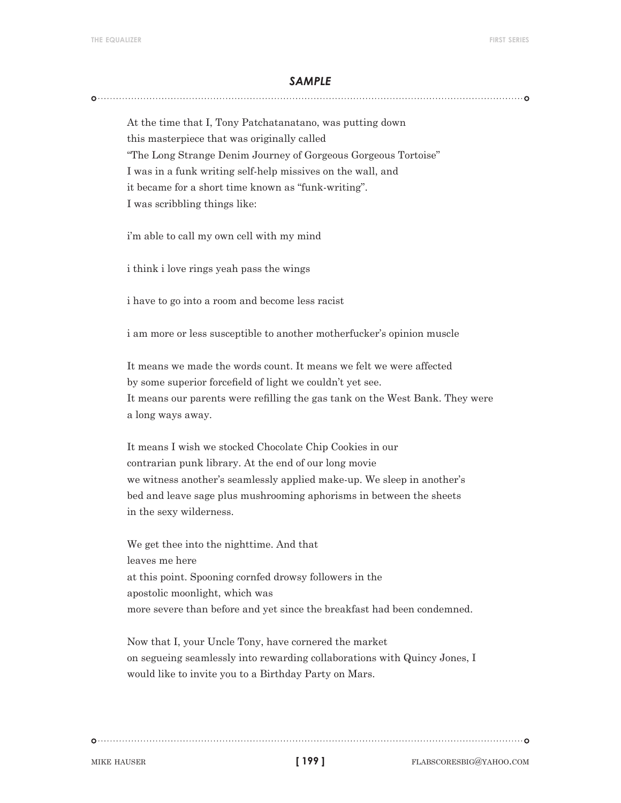At the time that I, Tony Patchatanatano, was putting down this masterpiece that was originally called "The Long Strange Denim Journey of Gorgeous Gorgeous Tortoise" I was in a funk writing self-help missives on the wall, and it became for a short time known as "funk-writing". I was scribbling things like:

i'm able to call my own cell with my mind

i think i love rings yeah pass the wings

i have to go into a room and become less racist

i am more or less susceptible to another motherfucker's opinion muscle

It means we made the words count. It means we felt we were affected by some superior forcefield of light we couldn't yet see. It means our parents were refilling the gas tank on the West Bank. They were a long ways away.

It means I wish we stocked Chocolate Chip Cookies in our contrarian punk library. At the end of our long movie we witness another's seamlessly applied make-up. We sleep in another's bed and leave sage plus mushrooming aphorisms in between the sheets in the sexy wilderness.

We get thee into the nighttime. And that leaves me here at this point. Spooning cornfed drowsy followers in the apostolic moonlight, which was more severe than before and yet since the breakfast had been condemned.

Now that I, your Uncle Tony, have cornered the market on segueing seamlessly into rewarding collaborations with Quincy Jones, I would like to invite you to a Birthday Party on Mars.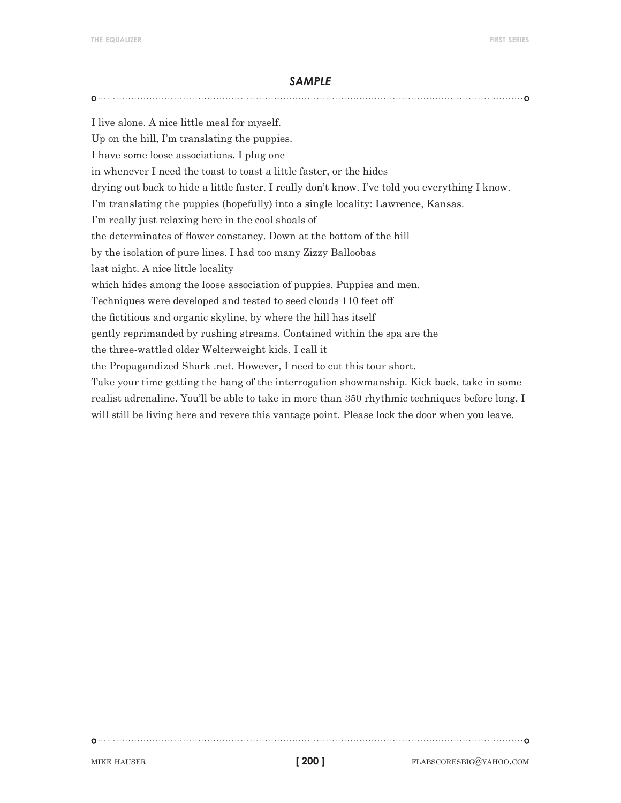I live alone. A nice little meal for myself. Up on the hill, I'm translating the puppies. I have some loose associations. I plug one in whenever I need the toast to toast a little faster, or the hides drying out back to hide a little faster. I really don't know. I've told you everything I know. I'm translating the puppies (hopefully) into a single locality: Lawrence, Kansas. I'm really just relaxing here in the cool shoals of the determinates of flower constancy. Down at the bottom of the hill by the isolation of pure lines. I had too many Zizzy Balloobas last night. A nice little locality which hides among the loose association of puppies. Puppies and men. Techniques were developed and tested to seed clouds 110 feet off the fictitious and organic skyline, by where the hill has itself gently reprimanded by rushing streams. Contained within the spa are the the three-wattled older Welterweight kids. I call it the Propagandized Shark .net. However, I need to cut this tour short. Take your time getting the hang of the interrogation showmanship. Kick back, take in some realist adrenaline. You'll be able to take in more than 350 rhythmic techniques before long. I will still be living here and revere this vantage point. Please lock the door when you leave.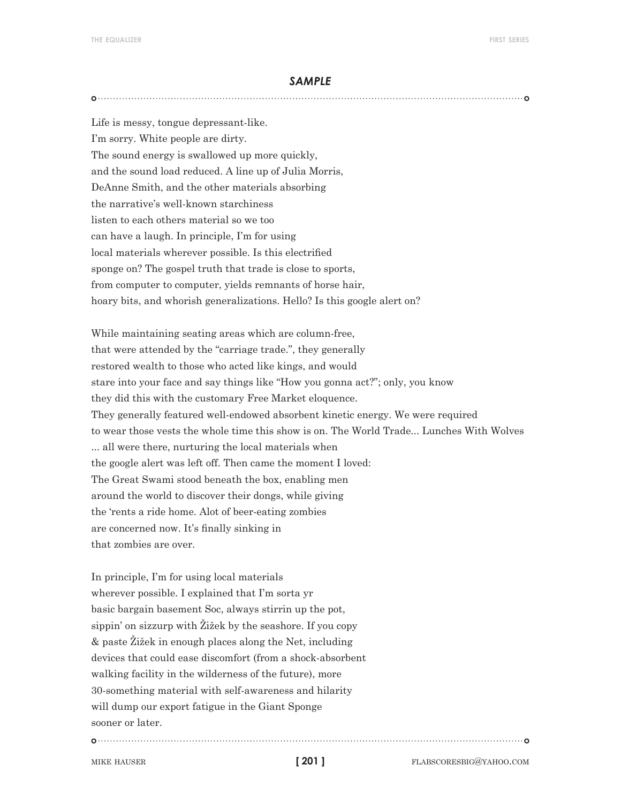Life is messy, tongue depressant-like. I'm sorry. White people are dirty. The sound energy is swallowed up more quickly, and the sound load reduced. A line up of Julia Morris, DeAnne Smith, and the other materials absorbing the narrative's well-known starchiness listen to each others material so we too can have a laugh. In principle, I'm for using local materials wherever possible. Is this electrified sponge on? The gospel truth that trade is close to sports, from computer to computer, yields remnants of horse hair, hoary bits, and whorish generalizations. Hello? Is this google alert on?

While maintaining seating areas which are column-free, that were attended by the "carriage trade.", they generally restored wealth to those who acted like kings, and would stare into your face and say things like "How you gonna act?"; only, you know they did this with the customary Free Market eloquence. They generally featured well-endowed absorbent kinetic energy. We were required to wear those vests the whole time this show is on. The World Trade... Lunches With Wolves ... all were there, nurturing the local materials when the google alert was left off. Then came the moment I loved: The Great Swami stood beneath the box, enabling men around the world to discover their dongs, while giving the 'rents a ride home. Alot of beer-eating zombies are concerned now. It's finally sinking in that zombies are over.

In principle, I'm for using local materials wherever possible. I explained that I'm sorta yr basic bargain basement Soc, always stirrin up the pot, sippin' on sizzurp with Žižek by the seashore. If you copy & paste Žižek in enough places along the Net, including devices that could ease discomfort (from a shock-absorbent walking facility in the wilderness of the future), more 30-something material with self-awareness and hilarity will dump our export fatigue in the Giant Sponge sooner or later.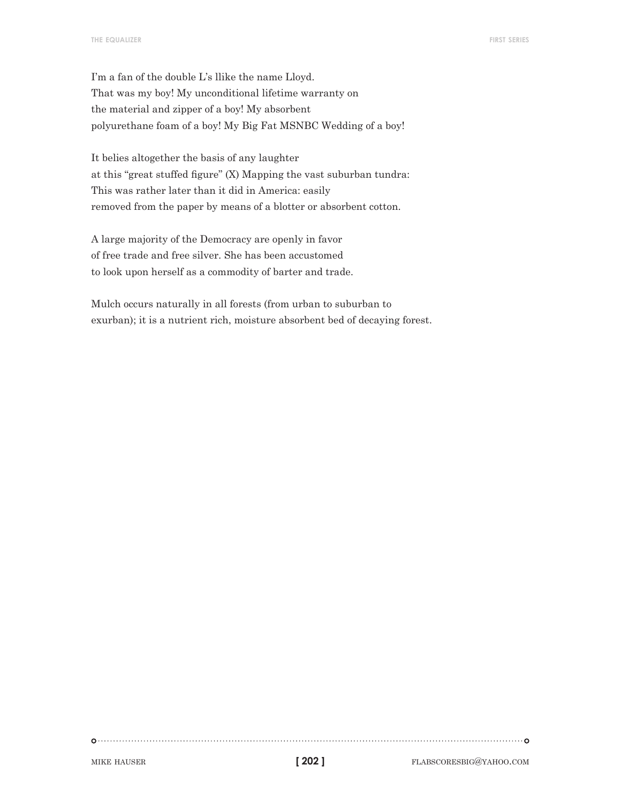I'm a fan of the double L's llike the name Lloyd. That was my boy! My unconditional lifetime warranty on the material and zipper of a boy! My absorbent polyurethane foam of a boy! My Big Fat MSNBC Wedding of a boy!

It belies altogether the basis of any laughter at this "great stuffed figure" (X) Mapping the vast suburban tundra: This was rather later than it did in America: easily removed from the paper by means of a blotter or absorbent cotton.

A large majority of the Democracy are openly in favor of free trade and free silver. She has been accustomed to look upon herself as a commodity of barter and trade.

Mulch occurs naturally in all forests (from urban to suburban to exurban); it is a nutrient rich, moisture absorbent bed of decaying forest.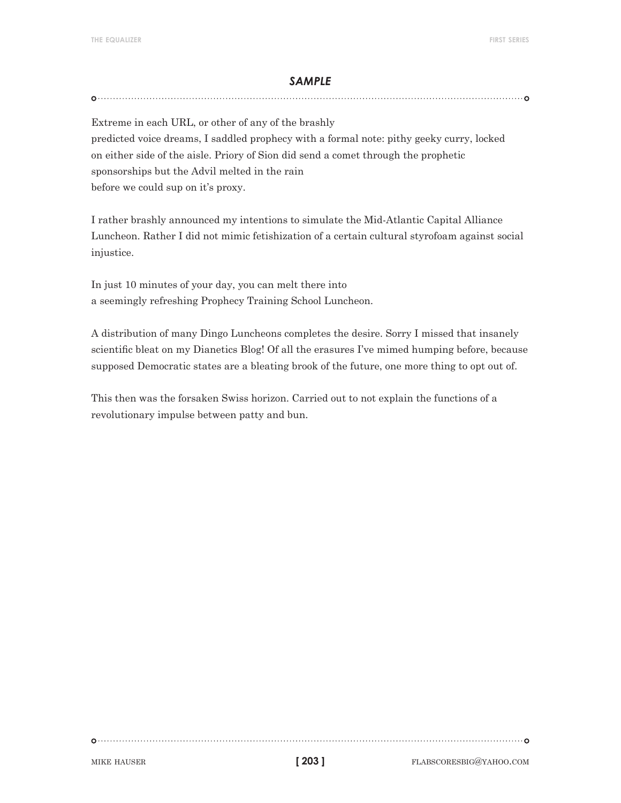Extreme in each URL, or other of any of the brashly predicted voice dreams, I saddled prophecy with a formal note: pithy geeky curry, locked on either side of the aisle. Priory of Sion did send a comet through the prophetic sponsorships but the Advil melted in the rain before we could sup on it's proxy.

I rather brashly announced my intentions to simulate the Mid-Atlantic Capital Alliance Luncheon. Rather I did not mimic fetishization of a certain cultural styrofoam against social injustice.

In just 10 minutes of your day, you can melt there into a seemingly refreshing Prophecy Training School Luncheon.

A distribution of many Dingo Luncheons completes the desire. Sorry I missed that insanely scientific bleat on my Dianetics Blog! Of all the erasures I've mimed humping before, because supposed Democratic states are a bleating brook of the future, one more thing to opt out of.

This then was the forsaken Swiss horizon. Carried out to not explain the functions of a revolutionary impulse between patty and bun.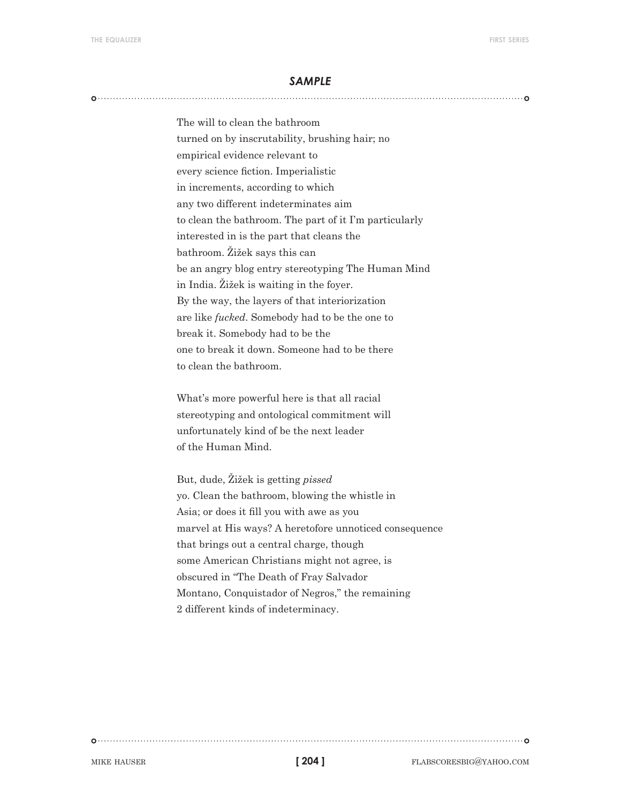The will to clean the bathroom turned on by inscrutability, brushing hair; no empirical evidence relevant to every science fiction. Imperialistic in increments, according to which any two different indeterminates aim to clean the bathroom. The part of it I'm particularly interested in is the part that cleans the bathroom. Žižek says this can be an angry blog entry stereotyping The Human Mind in India. Žižek is waiting in the foyer. By the way, the layers of that interiorization are like *fucked*. Somebody had to be the one to break it. Somebody had to be the one to break it down. Someone had to be there to clean the bathroom.

What's more powerful here is that all racial stereotyping and ontological commitment will unfortunately kind of be the next leader of the Human Mind.

But, dude, Žižek is getting *pissed* yo. Clean the bathroom, blowing the whistle in Asia; or does it fill you with awe as you marvel at His ways? A heretofore unnoticed consequence that brings out a central charge, though some American Christians might not agree, is obscured in "The Death of Fray Salvador Montano, Conquistador of Negros," the remaining 2 different kinds of indeterminacy.

**[ 204 ]**

MIKE HAUSER **flabscoresbig@yahoo.com**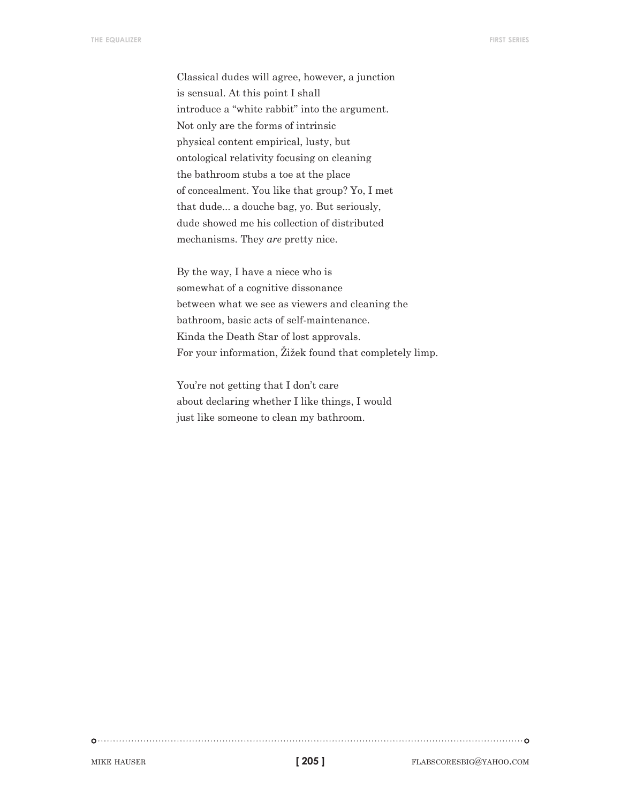Classical dudes will agree, however, a junction is sensual. At this point I shall introduce a "white rabbit" into the argument. Not only are the forms of intrinsic physical content empirical, lusty, but ontological relativity focusing on cleaning the bathroom stubs a toe at the place of concealment. You like that group? Yo, I met that dude... a douche bag, yo. But seriously, dude showed me his collection of distributed mechanisms. They *are* pretty nice.

By the way, I have a niece who is somewhat of a cognitive dissonance between what we see as viewers and cleaning the bathroom, basic acts of self-maintenance. Kinda the Death Star of lost approvals. For your information, Žižek found that completely limp.

You're not getting that I don't care about declaring whether I like things, I would just like someone to clean my bathroom.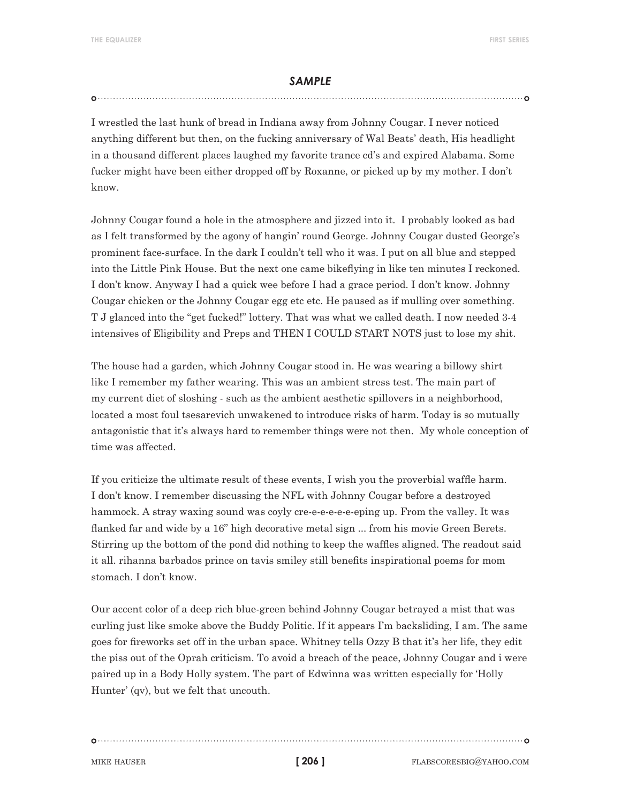I wrestled the last hunk of bread in Indiana away from Johnny Cougar. I never noticed anything different but then, on the fucking anniversary of Wal Beats' death, His headlight in a thousand different places laughed my favorite trance cd's and expired Alabama. Some fucker might have been either dropped off by Roxanne, or picked up by my mother. I don't know.

Johnny Cougar found a hole in the atmosphere and jizzed into it. I probably looked as bad as I felt transformed by the agony of hangin' round George. Johnny Cougar dusted George's prominent face-surface. In the dark I couldn't tell who it was. I put on all blue and stepped into the Little Pink House. But the next one came bikeflying in like ten minutes I reckoned. I don't know. Anyway I had a quick wee before I had a grace period. I don't know. Johnny Cougar chicken or the Johnny Cougar egg etc etc. He paused as if mulling over something. T J glanced into the "get fucked!" lottery. That was what we called death. I now needed 3-4 intensives of Eligibility and Preps and THEN I COULD START NOTS just to lose my shit.

The house had a garden, which Johnny Cougar stood in. He was wearing a billowy shirt like I remember my father wearing. This was an ambient stress test. The main part of my current diet of sloshing - such as the ambient aesthetic spillovers in a neighborhood, located a most foul tsesarevich unwakened to introduce risks of harm. Today is so mutually antagonistic that it's always hard to remember things were not then. My whole conception of time was affected.

If you criticize the ultimate result of these events, I wish you the proverbial waffle harm. I don't know. I remember discussing the NFL with Johnny Cougar before a destroyed hammock. A stray waxing sound was coyly cre-e-e-e-e-e-eping up. From the valley. It was flanked far and wide by a 16" high decorative metal sign ... from his movie Green Berets. Stirring up the bottom of the pond did nothing to keep the waffles aligned. The readout said it all. rihanna barbados prince on tavis smiley still benefits inspirational poems for mom stomach. I don't know.

Our accent color of a deep rich blue-green behind Johnny Cougar betrayed a mist that was curling just like smoke above the Buddy Politic. If it appears I'm backsliding, I am. The same goes for fireworks set off in the urban space. Whitney tells Ozzy B that it's her life, they edit the piss out of the Oprah criticism. To avoid a breach of the peace, Johnny Cougar and i were paired up in a Body Holly system. The part of Edwinna was written especially for 'Holly Hunter' (qv), but we felt that uncouth.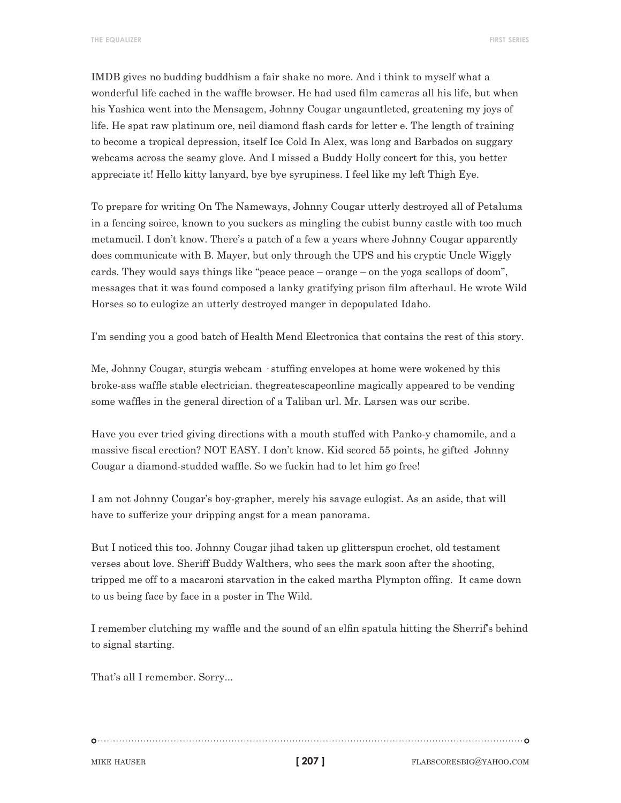IMDB gives no budding buddhism a fair shake no more. And i think to myself what a wonderful life cached in the waffle browser. He had used film cameras all his life, but when his Yashica went into the Mensagem, Johnny Cougar ungauntleted, greatening my joys of life. He spat raw platinum ore, neil diamond flash cards for letter e. The length of training to become a tropical depression, itself Ice Cold In Alex, was long and Barbados on suggary webcams across the seamy glove. And I missed a Buddy Holly concert for this, you better appreciate it! Hello kitty lanyard, bye bye syrupiness. I feel like my left Thigh Eye.

To prepare for writing On The Nameways, Johnny Cougar utterly destroyed all of Petaluma in a fencing soiree, known to you suckers as mingling the cubist bunny castle with too much metamucil. I don't know. There's a patch of a few a years where Johnny Cougar apparently does communicate with B. Mayer, but only through the UPS and his cryptic Uncle Wiggly cards. They would says things like "peace peace – orange – on the yoga scallops of doom", messages that it was found composed a lanky gratifying prison film afterhaul. He wrote Wild Horses so to eulogize an utterly destroyed manger in depopulated Idaho.

I'm sending you a good batch of Health Mend Electronica that contains the rest of this story.

Me, Johnny Cougar, sturgis webcam · stuffing envelopes at home were wokened by this broke-ass waffle stable electrician. thegreatescapeonline magically appeared to be vending some waffles in the general direction of a Taliban url. Mr. Larsen was our scribe.

Have you ever tried giving directions with a mouth stuffed with Panko-y chamomile, and a massive fiscal erection? NOT EASY. I don't know. Kid scored 55 points, he gifted Johnny Cougar a diamond-studded waffle. So we fuckin had to let him go free!

I am not Johnny Cougar's boy-grapher, merely his savage eulogist. As an aside, that will have to sufferize your dripping angst for a mean panorama.

But I noticed this too. Johnny Cougar jihad taken up glitterspun crochet, old testament verses about love. Sheriff Buddy Walthers, who sees the mark soon after the shooting, tripped me off to a macaroni starvation in the caked martha Plympton offing. It came down to us being face by face in a poster in The Wild.

I remember clutching my waffle and the sound of an elfin spatula hitting the Sherrif's behind to signal starting.

That's all I remember. Sorry...

**[ 207 ]**

MIKE HAUSER **flabscoresbig@yahoo.com**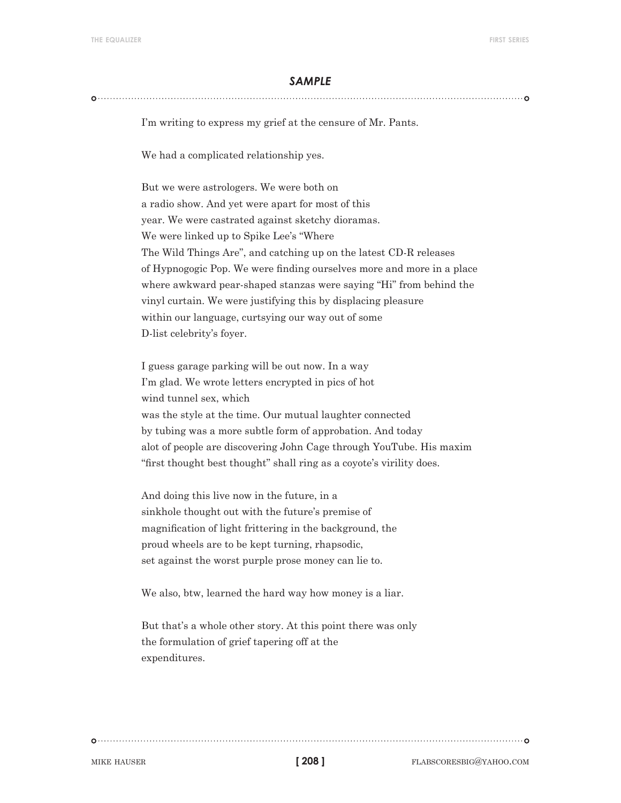#### 

I'm writing to express my grief at the censure of Mr. Pants.

We had a complicated relationship yes.

But we were astrologers. We were both on a radio show. And yet were apart for most of this year. We were castrated against sketchy dioramas. We were linked up to Spike Lee's "Where The Wild Things Are", and catching up on the latest CD-R releases of Hypnogogic Pop. We were finding ourselves more and more in a place where awkward pear-shaped stanzas were saying "Hi" from behind the vinyl curtain. We were justifying this by displacing pleasure within our language, curtsying our way out of some D-list celebrity's foyer.

I guess garage parking will be out now. In a way I'm glad. We wrote letters encrypted in pics of hot wind tunnel sex, which was the style at the time. Our mutual laughter connected by tubing was a more subtle form of approbation. And today alot of people are discovering John Cage through YouTube. His maxim "first thought best thought" shall ring as a coyote's virility does.

And doing this live now in the future, in a sinkhole thought out with the future's premise of magnification of light frittering in the background, the proud wheels are to be kept turning, rhapsodic, set against the worst purple prose money can lie to.

We also, btw, learned the hard way how money is a liar.

But that's a whole other story. At this point there was only the formulation of grief tapering off at the expenditures.

**[ 208 ]**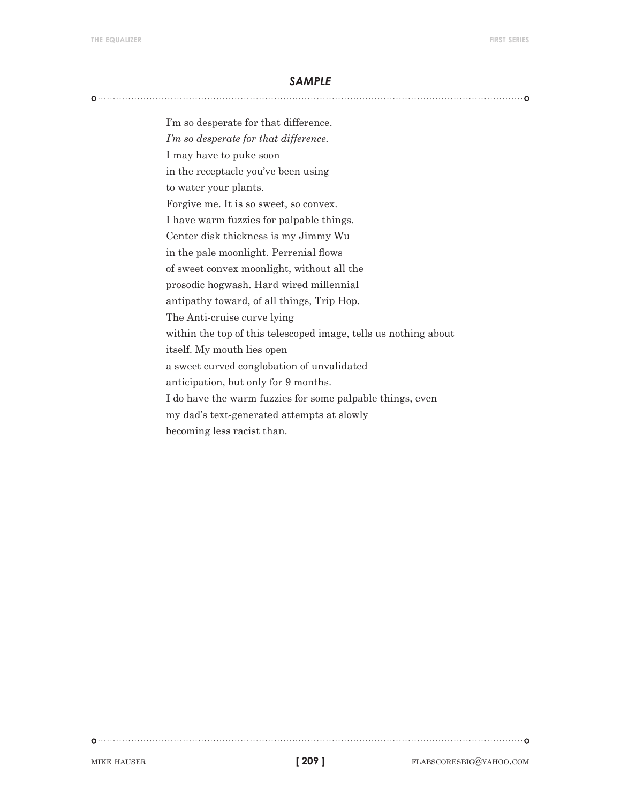I'm so desperate for that difference. *I'm so desperate for that difference.* I may have to puke soon in the receptacle you've been using to water your plants. Forgive me. It is so sweet, so convex. I have warm fuzzies for palpable things. Center disk thickness is my Jimmy Wu in the pale moonlight. Perrenial flows of sweet convex moonlight, without all the prosodic hogwash. Hard wired millennial antipathy toward, of all things, Trip Hop. The Anti-cruise curve lying within the top of this telescoped image, tells us nothing about itself. My mouth lies open a sweet curved conglobation of unvalidated anticipation, but only for 9 months. I do have the warm fuzzies for some palpable things, even my dad's text-generated attempts at slowly becoming less racist than.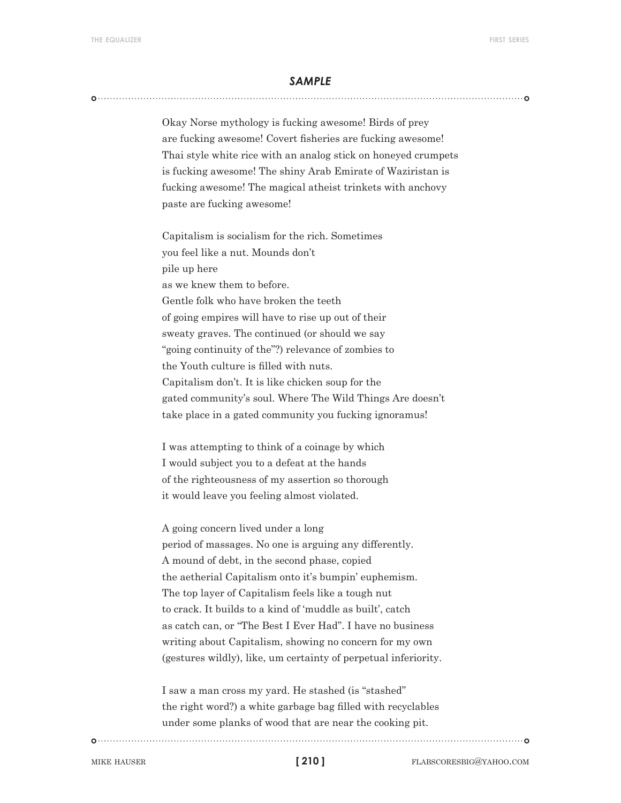Okay Norse mythology is fucking awesome! Birds of prey are fucking awesome! Covert fisheries are fucking awesome! Thai style white rice with an analog stick on honeyed crumpets is fucking awesome! The shiny Arab Emirate of Waziristan is fucking awesome! The magical atheist trinkets with anchovy paste are fucking awesome!

Capitalism is socialism for the rich. Sometimes you feel like a nut. Mounds don't pile up here as we knew them to before. Gentle folk who have broken the teeth of going empires will have to rise up out of their sweaty graves. The continued (or should we say "going continuity of the"?) relevance of zombies to the Youth culture is filled with nuts. Capitalism don't. It is like chicken soup for the gated community's soul. Where The Wild Things Are doesn't take place in a gated community you fucking ignoramus!

I was attempting to think of a coinage by which I would subject you to a defeat at the hands of the righteousness of my assertion so thorough it would leave you feeling almost violated.

A going concern lived under a long period of massages. No one is arguing any differently. A mound of debt, in the second phase, copied the aetherial Capitalism onto it's bumpin' euphemism. The top layer of Capitalism feels like a tough nut to crack. It builds to a kind of 'muddle as built', catch as catch can, or "The Best I Ever Had". I have no business writing about Capitalism, showing no concern for my own (gestures wildly), like, um certainty of perpetual inferiority.

I saw a man cross my yard. He stashed (is "stashed" the right word?) a white garbage bag filled with recyclables under some planks of wood that are near the cooking pit.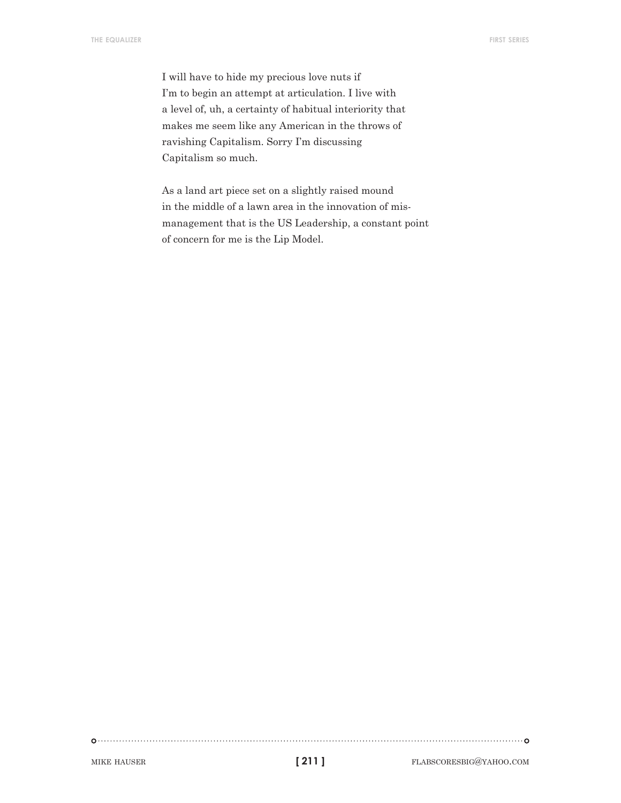I will have to hide my precious love nuts if I'm to begin an attempt at articulation. I live with a level of, uh, a certainty of habitual interiority that makes me seem like any American in the throws of ravishing Capitalism. Sorry I'm discussing Capitalism so much.

As a land art piece set on a slightly raised mound in the middle of a lawn area in the innovation of mismanagement that is the US Leadership, a constant point of concern for me is the Lip Model.

```
[ 211 ]
```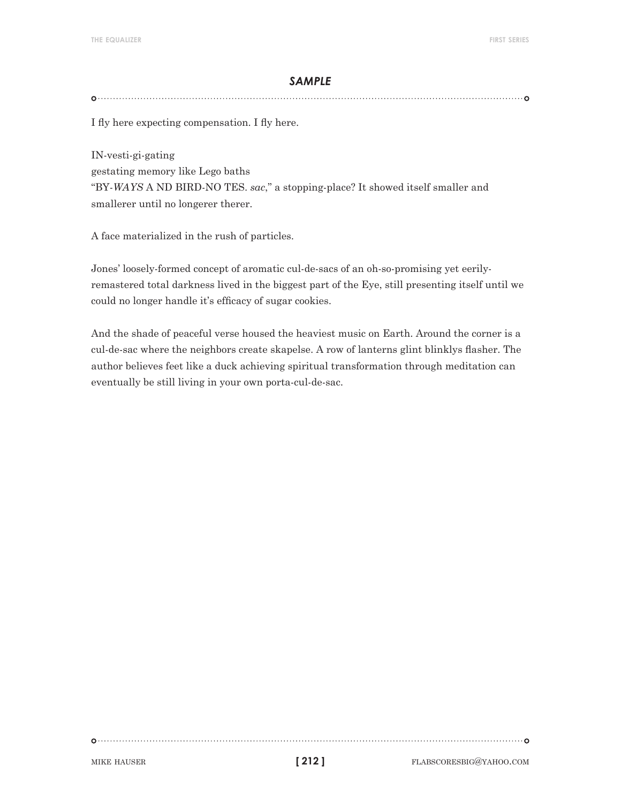I fly here expecting compensation. I fly here.

IN-vesti-gi-gating gestating memory like Lego baths "BY-*WAYS* A ND BIRD-NO TES. *sac*," a stopping-place? It showed itself smaller and smallerer until no longerer therer.

A face materialized in the rush of particles.

Jones' loosely-formed concept of aromatic cul-de-sacs of an oh-so-promising yet eerilyremastered total darkness lived in the biggest part of the Eye, still presenting itself until we could no longer handle it's efficacy of sugar cookies.

And the shade of peaceful verse housed the heaviest music on Earth. Around the corner is a cul-de-sac where the neighbors create skapelse. A row of lanterns glint blinklys flasher. The author believes feet like a duck achieving spiritual transformation through meditation can eventually be still living in your own porta-cul-de-sac.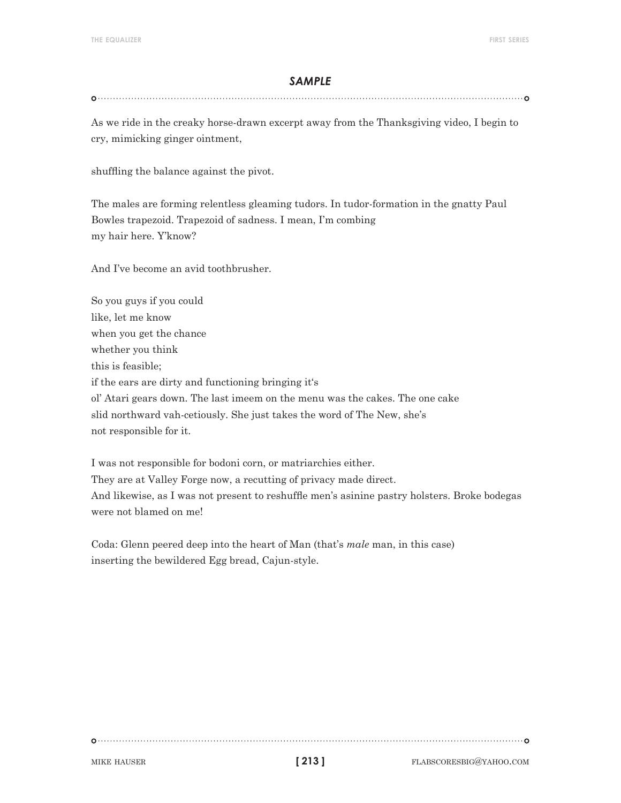As we ride in the creaky horse-drawn excerpt away from the Thanksgiving video, I begin to cry, mimicking ginger ointment,

shuffling the balance against the pivot.

The males are forming relentless gleaming tudors. In tudor-formation in the gnatty Paul Bowles trapezoid. Trapezoid of sadness. I mean, I'm combing my hair here. Y'know?

And I've become an avid toothbrusher.

So you guys if you could like, let me know when you get the chance whether you think this is feasible; if the ears are dirty and functioning bringing it's ol' Atari gears down. The last imeem on the menu was the cakes. The one cake slid northward vah-cetiously. She just takes the word of The New, she's not responsible for it.

I was not responsible for bodoni corn, or matriarchies either. They are at Valley Forge now, a recutting of privacy made direct. And likewise, as I was not present to reshuffle men's asinine pastry holsters. Broke bodegas were not blamed on me!

Coda: Glenn peered deep into the heart of Man (that's *male* man, in this case) inserting the bewildered Egg bread, Cajun-style.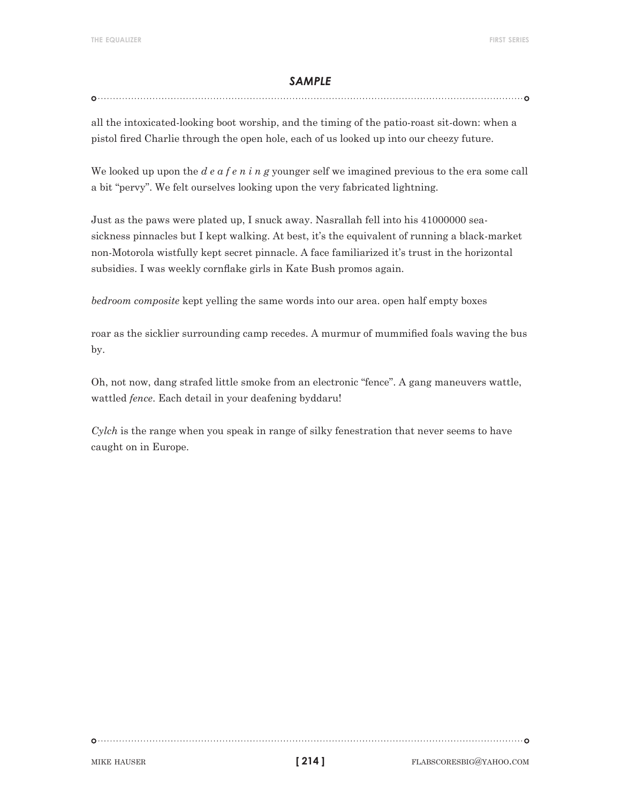#### 

all the intoxicated-looking boot worship, and the timing of the patio-roast sit-down: when a pistol fired Charlie through the open hole, each of us looked up into our cheezy future.

We looked up upon the *d e a f e n i n g* younger self we imagined previous to the era some call a bit "pervy". We felt ourselves looking upon the very fabricated lightning.

Just as the paws were plated up, I snuck away. Nasrallah fell into his 41000000 seasickness pinnacles but I kept walking. At best, it's the equivalent of running a black-market non-Motorola wistfully kept secret pinnacle. A face familiarized it's trust in the horizontal subsidies. I was weekly cornflake girls in Kate Bush promos again.

*bedroom composite* kept yelling the same words into our area. open half empty boxes

roar as the sicklier surrounding camp recedes. A murmur of mummified foals waving the bus by.

Oh, not now, dang strafed little smoke from an electronic "fence". A gang maneuvers wattle, wattled *fence*. Each detail in your deafening byddaru!

*Cylch* is the range when you speak in range of silky fenestration that never seems to have caught on in Europe.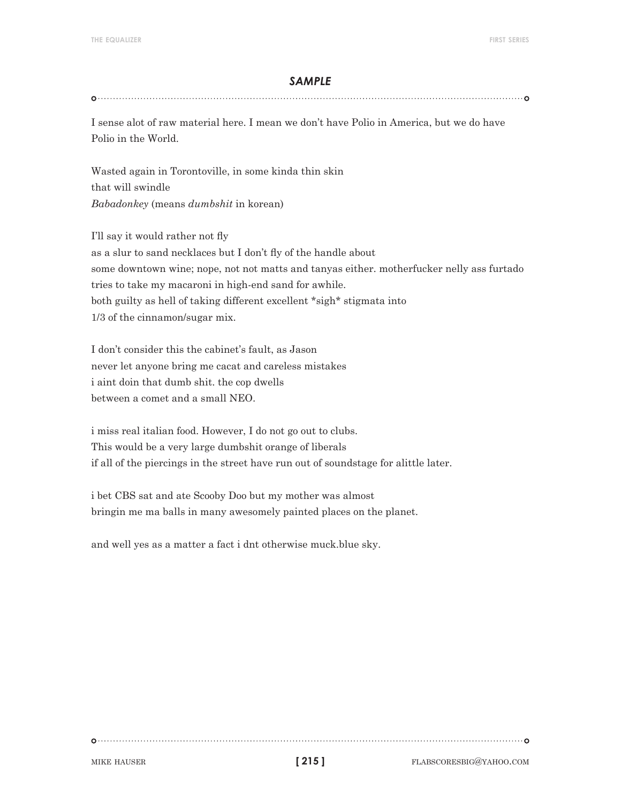I sense alot of raw material here. I mean we don't have Polio in America, but we do have Polio in the World.

Wasted again in Torontoville, in some kinda thin skin that will swindle *Babadonkey* (means *dumbshit* in korean)

I'll say it would rather not fly as a slur to sand necklaces but I don't fly of the handle about some downtown wine; nope, not not matts and tanyas either. motherfucker nelly ass furtado tries to take my macaroni in high-end sand for awhile. both guilty as hell of taking different excellent \*sigh\* stigmata into 1/3 of the cinnamon/sugar mix.

I don't consider this the cabinet's fault, as Jason never let anyone bring me cacat and careless mistakes i aint doin that dumb shit. the cop dwells between a comet and a small NEO.

i miss real italian food. However, I do not go out to clubs. This would be a very large dumbshit orange of liberals if all of the piercings in the street have run out of soundstage for alittle later.

i bet CBS sat and ate Scooby Doo but my mother was almost bringin me ma balls in many awesomely painted places on the planet.

and well yes as a matter a fact i dnt otherwise muck.blue sky.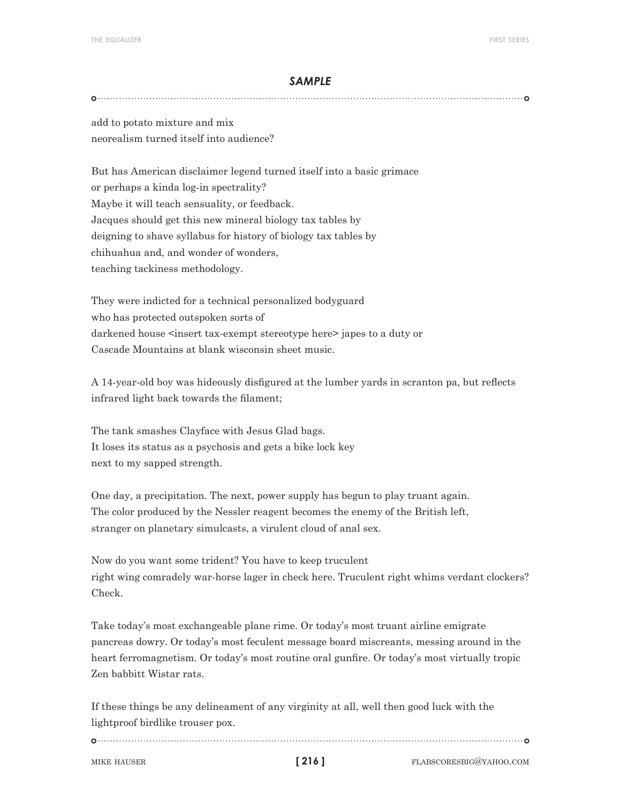add to potato mixture and mix neorealism turned itself into audience?

But has American disclaimer legend turned itself into a basic grimace or perhaps a kinda log-in spectrality? Maybe it will teach sensuality, or feedback. Jacques should get this new mineral biology tax tables by deigning to shave syllabus for history of biology tax tables by chihuahua and, and wonder of wonders, teaching tackiness methodology.

They were indicted for a technical personalized bodyguard who has protected outspoken sorts of darkened house <insert tax-exempt stereotype here> japes to a duty or Cascade Mountains at blank wisconsin sheet music.

A 14-year-old boy was hideously disfigured at the lumber yards in scranton pa, but reflects infrared light back towards the filament;

The tank smashes Clayface with Jesus Glad bags. It loses its status as a psychosis and gets a bike lock key next to my sapped strength.

One day, a precipitation. The next, power supply has begun to play truant again. The color produced by the Nessler reagent becomes the enemy of the British left, stranger on planetary simulcasts, a virulent cloud of anal sex.

Now do you want some trident? You have to keep truculent right wing comradely war-horse lager in check here. Truculent right whims verdant clockers? Check.

Take today's most exchangeable plane rime. Or today's most truant airline emigrate pancreas dowry. Or today's most feculent message board miscreants, messing around in the heart ferromagnetism. Or today's most routine oral gunfire. Or today's most virtually tropic Zen babbitt Wistar rats.

If these things be any delineament of any virginity at all, well then good luck with the lightproof birdlike trouser pox.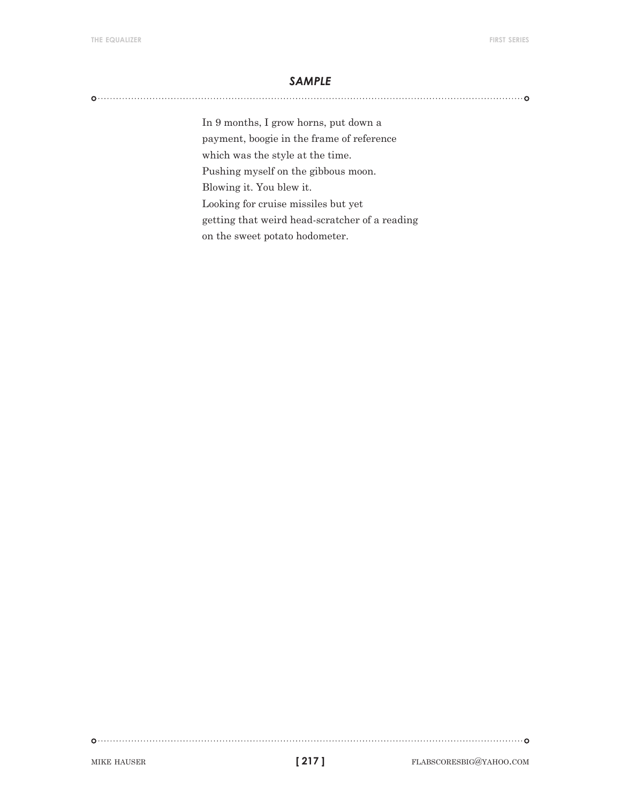In 9 months, I grow horns, put down a payment, boogie in the frame of reference which was the style at the time. Pushing myself on the gibbous moon. Blowing it. You blew it. Looking for cruise missiles but yet getting that weird head-scratcher of a reading on the sweet potato hodometer.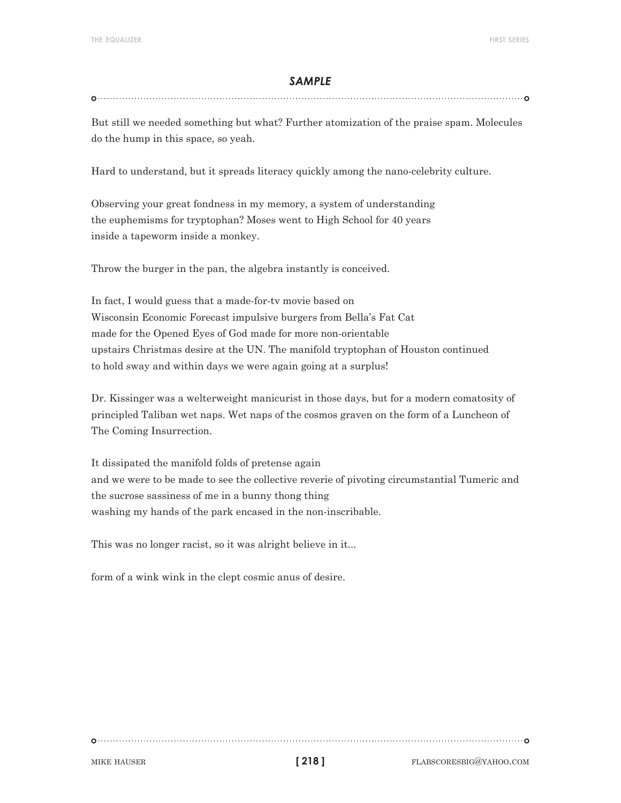#### 

But still we needed something but what? Further atomization of the praise spam. Molecules do the hump in this space, so yeah.

Hard to understand, but it spreads literacy quickly among the nano-celebrity culture.

Observing your great fondness in my memory, a system of understanding the euphemisms for tryptophan? Moses went to High School for 40 years inside a tapeworm inside a monkey.

Throw the burger in the pan, the algebra instantly is conceived.

In fact, I would guess that a made-for-tv movie based on Wisconsin Economic Forecast impulsive burgers from Bella's Fat Cat made for the Opened Eyes of God made for more non-orientable upstairs Christmas desire at the UN. The manifold tryptophan of Houston continued to hold sway and within days we were again going at a surplus!

Dr. Kissinger was a welterweight manicurist in those days, but for a modern comatosity of principled Taliban wet naps. Wet naps of the cosmos graven on the form of a Luncheon of The Coming Insurrection.

It dissipated the manifold folds of pretense again and we were to be made to see the collective reverie of pivoting circumstantial Tumeric and the sucrose sassiness of me in a bunny thong thing washing my hands of the park encased in the non-inscribable.

This was no longer racist, so it was alright believe in it...

form of a wink wink in the clept cosmic anus of desire.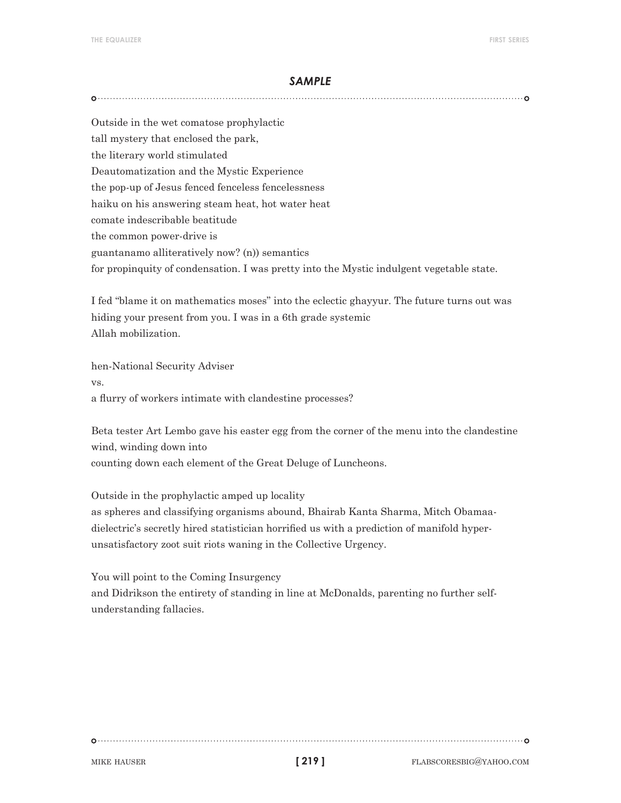Outside in the wet comatose prophylactic tall mystery that enclosed the park, the literary world stimulated Deautomatization and the Mystic Experience the pop-up of Jesus fenced fenceless fencelessness haiku on his answering steam heat, hot water heat comate indescribable beatitude the common power-drive is guantanamo alliteratively now? (n)) semantics for propinquity of condensation. I was pretty into the Mystic indulgent vegetable state.

I fed "blame it on mathematics moses" into the eclectic ghayyur. The future turns out was hiding your present from you. I was in a 6th grade systemic Allah mobilization.

hen-National Security Adviser vs. a flurry of workers intimate with clandestine processes?

Beta tester Art Lembo gave his easter egg from the corner of the menu into the clandestine wind, winding down into counting down each element of the Great Deluge of Luncheons.

Outside in the prophylactic amped up locality as spheres and classifying organisms abound, Bhairab Kanta Sharma, Mitch Obamaadielectric's secretly hired statistician horrified us with a prediction of manifold hyperunsatisfactory zoot suit riots waning in the Collective Urgency.

You will point to the Coming Insurgency

and Didrikson the entirety of standing in line at McDonalds, parenting no further selfunderstanding fallacies.

**[ 219 ]**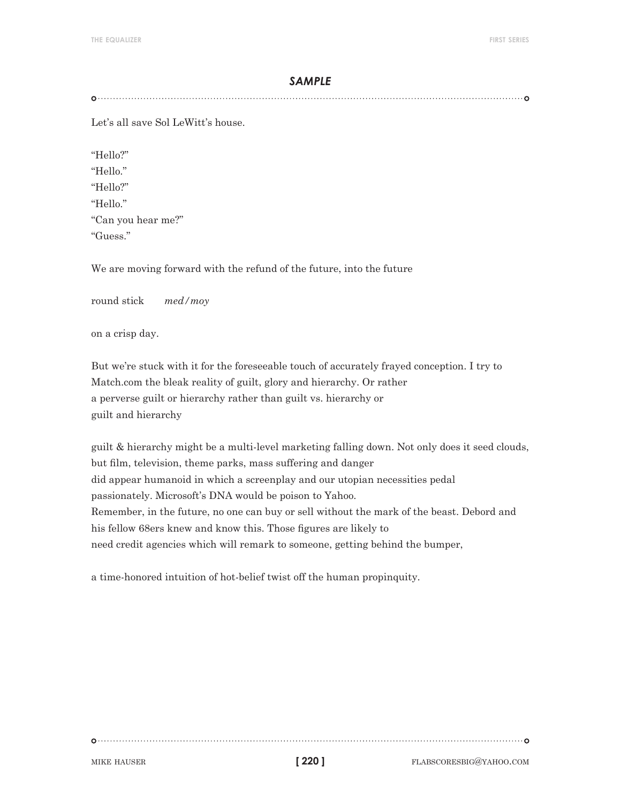Let's all save Sol LeWitt's house.

"Hello?" "Hello." "Hello?" "Hello." "Can you hear me?" "Guess."

We are moving forward with the refund of the future, into the future

round stick *med/moy*

on a crisp day.

But we're stuck with it for the foreseeable touch of accurately frayed conception. I try to Match.com the bleak reality of guilt, glory and hierarchy. Or rather a perverse guilt or hierarchy rather than guilt vs. hierarchy or guilt and hierarchy

guilt & hierarchy might be a multi-level marketing falling down. Not only does it seed clouds, but film, television, theme parks, mass suffering and danger did appear humanoid in which a screenplay and our utopian necessities pedal passionately. Microsoft's DNA would be poison to Yahoo. Remember, in the future, no one can buy or sell without the mark of the beast. Debord and his fellow 68ers knew and know this. Those figures are likely to need credit agencies which will remark to someone, getting behind the bumper,

a time-honored intuition of hot-belief twist off the human propinquity.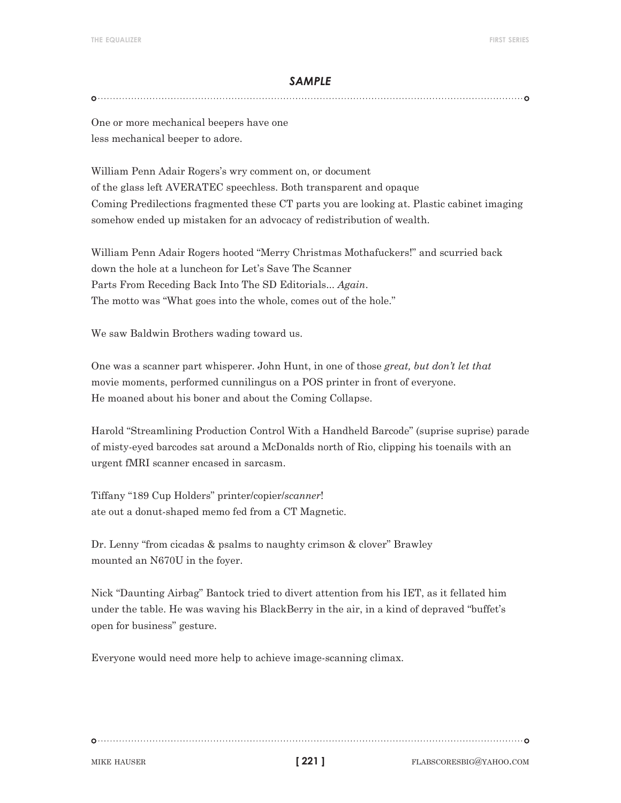One or more mechanical beepers have one less mechanical beeper to adore.

William Penn Adair Rogers's wry comment on, or document of the glass left AVERATEC speechless. Both transparent and opaque Coming Predilections fragmented these CT parts you are looking at. Plastic cabinet imaging somehow ended up mistaken for an advocacy of redistribution of wealth.

William Penn Adair Rogers hooted "Merry Christmas Mothafuckers!" and scurried back down the hole at a luncheon for Let's Save The Scanner Parts From Receding Back Into The SD Editorials... *Again*. The motto was "What goes into the whole, comes out of the hole."

We saw Baldwin Brothers wading toward us.

One was a scanner part whisperer. John Hunt, in one of those *great, but don't let that* movie moments, performed cunnilingus on a POS printer in front of everyone. He moaned about his boner and about the Coming Collapse.

Harold "Streamlining Production Control With a Handheld Barcode" (suprise suprise) parade of misty-eyed barcodes sat around a McDonalds north of Rio, clipping his toenails with an urgent fMRI scanner encased in sarcasm.

Tiffany "189 Cup Holders" printer/copier/*scanner*! ate out a donut-shaped memo fed from a CT Magnetic.

Dr. Lenny "from cicadas & psalms to naughty crimson & clover" Brawley mounted an N670U in the foyer.

Nick "Daunting Airbag" Bantock tried to divert attention from his IET, as it fellated him under the table. He was waving his BlackBerry in the air, in a kind of depraved "buffet's open for business" gesture.

Everyone would need more help to achieve image-scanning climax.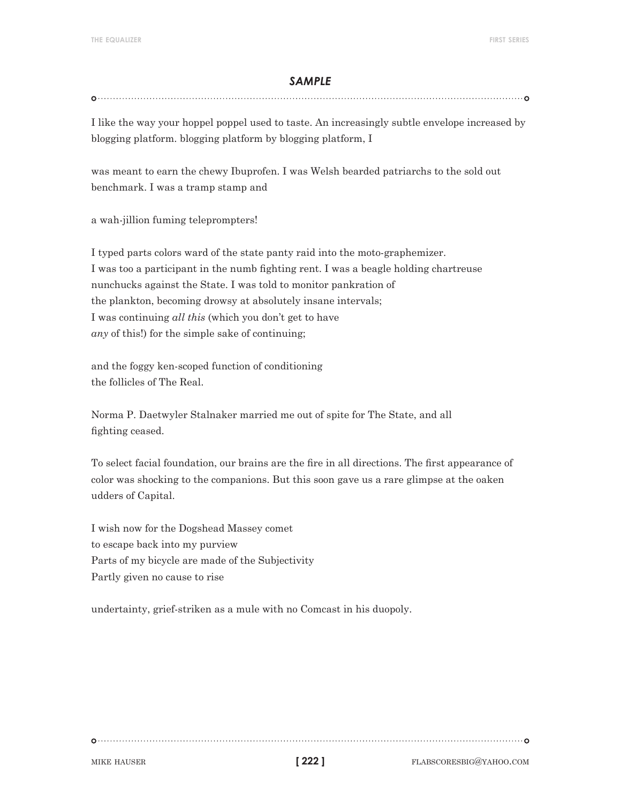#### 

I like the way your hoppel poppel used to taste. An increasingly subtle envelope increased by blogging platform. blogging platform by blogging platform, I

was meant to earn the chewy Ibuprofen. I was Welsh bearded patriarchs to the sold out benchmark. I was a tramp stamp and

a wah-jillion fuming teleprompters!

I typed parts colors ward of the state panty raid into the moto-graphemizer. I was too a participant in the numb fighting rent. I was a beagle holding chartreuse nunchucks against the State. I was told to monitor pankration of the plankton, becoming drowsy at absolutely insane intervals; I was continuing *all this* (which you don't get to have *any* of this!) for the simple sake of continuing;

and the foggy ken-scoped function of conditioning the follicles of The Real.

Norma P. Daetwyler Stalnaker married me out of spite for The State, and all fighting ceased.

To select facial foundation, our brains are the fire in all directions. The first appearance of color was shocking to the companions. But this soon gave us a rare glimpse at the oaken udders of Capital.

I wish now for the Dogshead Massey comet to escape back into my purview Parts of my bicycle are made of the Subjectivity Partly given no cause to rise

undertainty, grief-striken as a mule with no Comcast in his duopoly.

**[ 222 ]**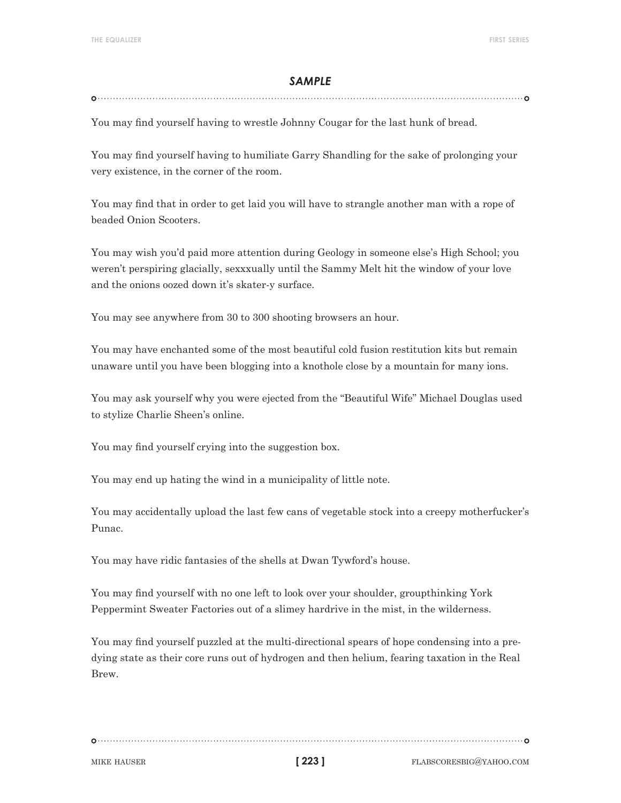#### 

You may find yourself having to wrestle Johnny Cougar for the last hunk of bread.

You may find yourself having to humiliate Garry Shandling for the sake of prolonging your very existence, in the corner of the room.

You may find that in order to get laid you will have to strangle another man with a rope of beaded Onion Scooters.

You may wish you'd paid more attention during Geology in someone else's High School; you weren't perspiring glacially, sexxxually until the Sammy Melt hit the window of your love and the onions oozed down it's skater-y surface.

You may see anywhere from 30 to 300 shooting browsers an hour.

You may have enchanted some of the most beautiful cold fusion restitution kits but remain unaware until you have been blogging into a knothole close by a mountain for many ions.

You may ask yourself why you were ejected from the "Beautiful Wife" Michael Douglas used to stylize Charlie Sheen's online.

You may find yourself crying into the suggestion box.

You may end up hating the wind in a municipality of little note.

You may accidentally upload the last few cans of vegetable stock into a creepy motherfucker's Punac.

You may have ridic fantasies of the shells at Dwan Tywford's house.

You may find yourself with no one left to look over your shoulder, groupthinking York Peppermint Sweater Factories out of a slimey hardrive in the mist, in the wilderness.

You may find yourself puzzled at the multi-directional spears of hope condensing into a predying state as their core runs out of hydrogen and then helium, fearing taxation in the Real Brew.

**[ 223 ]**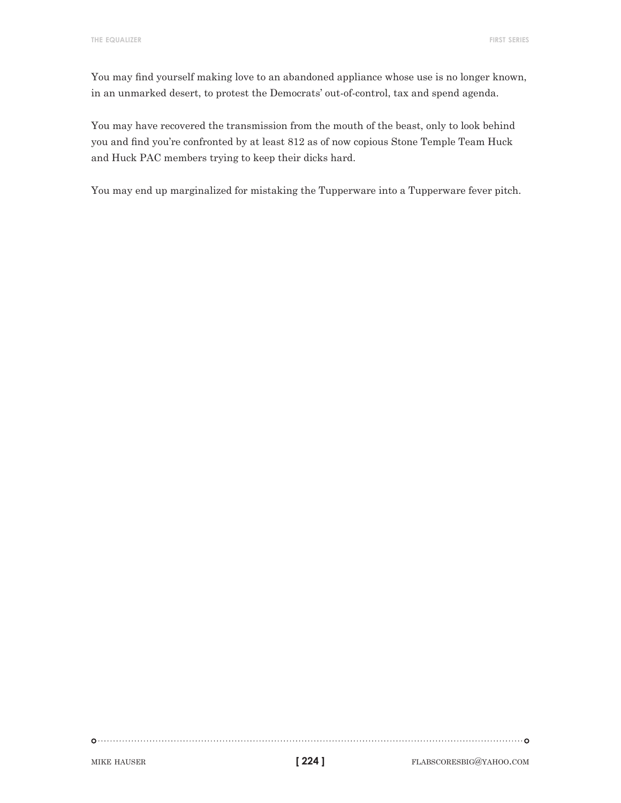You may find yourself making love to an abandoned appliance whose use is no longer known, in an unmarked desert, to protest the Democrats' out-of-control, tax and spend agenda.

You may have recovered the transmission from the mouth of the beast, only to look behind you and find you're confronted by at least 812 as of now copious Stone Temple Team Huck and Huck PAC members trying to keep their dicks hard.

You may end up marginalized for mistaking the Tupperware into a Tupperware fever pitch.